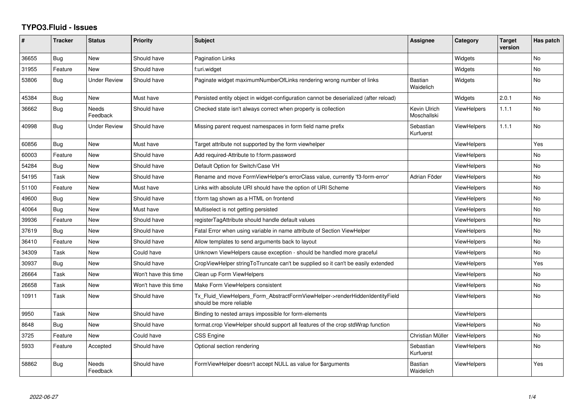## **TYPO3.Fluid - Issues**

| ∦     | <b>Tracker</b> | <b>Status</b>       | Priority             | Subject                                                                                                | <b>Assignee</b>             | Category           | <b>Target</b><br>version | Has patch |
|-------|----------------|---------------------|----------------------|--------------------------------------------------------------------------------------------------------|-----------------------------|--------------------|--------------------------|-----------|
| 36655 | Bug            | New                 | Should have          | Pagination Links                                                                                       |                             | Widgets            |                          | <b>No</b> |
| 31955 | Feature        | <b>New</b>          | Should have          | f:uri.widget                                                                                           |                             | Widgets            |                          | No        |
| 53806 | Bug            | <b>Under Review</b> | Should have          | Paginate widget maximumNumberOfLinks rendering wrong number of links                                   | Bastian<br>Waidelich        | Widgets            |                          | <b>No</b> |
| 45384 | Bug            | <b>New</b>          | Must have            | Persisted entity object in widget-configuration cannot be deserialized (after reload)                  |                             | Widgets            | 2.0.1                    | <b>No</b> |
| 36662 | Bug            | Needs<br>Feedback   | Should have          | Checked state isn't always correct when property is collection                                         | Kevin Ulrich<br>Moschallski | <b>ViewHelpers</b> | 1.1.1                    | No        |
| 40998 | Bug            | <b>Under Review</b> | Should have          | Missing parent request namespaces in form field name prefix                                            | Sebastian<br>Kurfuerst      | <b>ViewHelpers</b> | 1.1.1                    | <b>No</b> |
| 60856 | Bug            | <b>New</b>          | Must have            | Target attribute not supported by the form viewhelper                                                  |                             | <b>ViewHelpers</b> |                          | Yes       |
| 60003 | Feature        | New                 | Should have          | Add required-Attribute to f:form.password                                                              |                             | <b>ViewHelpers</b> |                          | No        |
| 54284 | Bug            | New                 | Should have          | Default Option for Switch/Case VH                                                                      |                             | <b>ViewHelpers</b> |                          | <b>No</b> |
| 54195 | Task           | New                 | Should have          | Rename and move FormViewHelper's errorClass value, currently 'f3-form-error'                           | Adrian Föder                | ViewHelpers        |                          | <b>No</b> |
| 51100 | Feature        | New                 | Must have            | Links with absolute URI should have the option of URI Scheme                                           |                             | <b>ViewHelpers</b> |                          | <b>No</b> |
| 49600 | Bug            | New                 | Should have          | f:form tag shown as a HTML on frontend                                                                 |                             | <b>ViewHelpers</b> |                          | <b>No</b> |
| 40064 | Bug            | New                 | Must have            | Multiselect is not getting persisted                                                                   |                             | <b>ViewHelpers</b> |                          | No        |
| 39936 | Feature        | New                 | Should have          | registerTagAttribute should handle default values                                                      |                             | <b>ViewHelpers</b> |                          | <b>No</b> |
| 37619 | Bug            | New                 | Should have          | Fatal Error when using variable in name attribute of Section ViewHelper                                |                             | ViewHelpers        |                          | <b>No</b> |
| 36410 | Feature        | New                 | Should have          | Allow templates to send arguments back to layout                                                       |                             | <b>ViewHelpers</b> |                          | <b>No</b> |
| 34309 | Task           | New                 | Could have           | Unknown ViewHelpers cause exception - should be handled more graceful                                  |                             | <b>ViewHelpers</b> |                          | No        |
| 30937 | Bug            | New                 | Should have          | CropViewHelper stringToTruncate can't be supplied so it can't be easily extended                       |                             | <b>ViewHelpers</b> |                          | Yes       |
| 26664 | Task           | New                 | Won't have this time | Clean up Form ViewHelpers                                                                              |                             | <b>ViewHelpers</b> |                          | No        |
| 26658 | Task           | New                 | Won't have this time | Make Form ViewHelpers consistent                                                                       |                             | <b>ViewHelpers</b> |                          | <b>No</b> |
| 10911 | Task           | New                 | Should have          | Tx Fluid ViewHelpers Form AbstractFormViewHelper->renderHiddenIdentityField<br>should be more reliable |                             | <b>ViewHelpers</b> |                          | No        |
| 9950  | Task           | New                 | Should have          | Binding to nested arrays impossible for form-elements                                                  |                             | <b>ViewHelpers</b> |                          |           |
| 8648  | Bug            | New                 | Should have          | format.crop ViewHelper should support all features of the crop stdWrap function                        |                             | <b>ViewHelpers</b> |                          | <b>No</b> |
| 3725  | Feature        | New                 | Could have           | <b>CSS Engine</b>                                                                                      | Christian Müller            | <b>ViewHelpers</b> |                          | No        |
| 5933  | Feature        | Accepted            | Should have          | Optional section rendering                                                                             | Sebastian<br>Kurfuerst      | <b>ViewHelpers</b> |                          | <b>No</b> |
| 58862 | Bug            | Needs<br>Feedback   | Should have          | FormViewHelper doesn't accept NULL as value for \$arguments                                            | Bastian<br>Waidelich        | ViewHelpers        |                          | Yes       |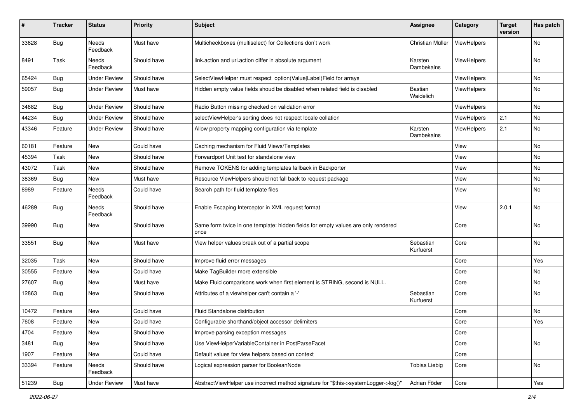| $\pmb{\#}$ | <b>Tracker</b> | <b>Status</b>       | <b>Priority</b> | <b>Subject</b>                                                                            | <b>Assignee</b>             | Category    | <b>Target</b><br>version | Has patch |
|------------|----------------|---------------------|-----------------|-------------------------------------------------------------------------------------------|-----------------------------|-------------|--------------------------|-----------|
| 33628      | <b>Bug</b>     | Needs<br>Feedback   | Must have       | Multicheckboxes (multiselect) for Collections don't work                                  | Christian Müller            | ViewHelpers |                          | No        |
| 8491       | Task           | Needs<br>Feedback   | Should have     | link.action and uri.action differ in absolute argument                                    | Karsten<br>Dambekalns       | ViewHelpers |                          | No        |
| 65424      | Bug            | <b>Under Review</b> | Should have     | SelectViewHelper must respect option(Value Label)Field for arrays                         |                             | ViewHelpers |                          | No        |
| 59057      | Bug            | <b>Under Review</b> | Must have       | Hidden empty value fields shoud be disabled when related field is disabled                | <b>Bastian</b><br>Waidelich | ViewHelpers |                          | No        |
| 34682      | Bug            | <b>Under Review</b> | Should have     | Radio Button missing checked on validation error                                          |                             | ViewHelpers |                          | <b>No</b> |
| 44234      | Bug            | <b>Under Review</b> | Should have     | selectViewHelper's sorting does not respect locale collation                              |                             | ViewHelpers | 2.1                      | No        |
| 43346      | Feature        | <b>Under Review</b> | Should have     | Allow property mapping configuration via template                                         | Karsten<br>Dambekalns       | ViewHelpers | 2.1                      | No        |
| 60181      | Feature        | <b>New</b>          | Could have      | Caching mechanism for Fluid Views/Templates                                               |                             | View        |                          | No        |
| 45394      | Task           | New                 | Should have     | Forwardport Unit test for standalone view                                                 |                             | View        |                          | No        |
| 43072      | Task           | <b>New</b>          | Should have     | Remove TOKENS for adding templates fallback in Backporter                                 |                             | View        |                          | No.       |
| 38369      | <b>Bug</b>     | New                 | Must have       | Resource ViewHelpers should not fall back to request package                              |                             | View        |                          | No        |
| 8989       | Feature        | Needs<br>Feedback   | Could have      | Search path for fluid template files                                                      |                             | View        |                          | No        |
| 46289      | <b>Bug</b>     | Needs<br>Feedback   | Should have     | Enable Escaping Interceptor in XML request format                                         |                             | View        | 2.0.1                    | <b>No</b> |
| 39990      | <b>Bug</b>     | New                 | Should have     | Same form twice in one template: hidden fields for empty values are only rendered<br>once |                             | Core        |                          | No        |
| 33551      | <b>Bug</b>     | New                 | Must have       | View helper values break out of a partial scope                                           | Sebastian<br>Kurfuerst      | Core        |                          | No        |
| 32035      | Task           | New                 | Should have     | Improve fluid error messages                                                              |                             | Core        |                          | Yes       |
| 30555      | Feature        | <b>New</b>          | Could have      | Make TagBuilder more extensible                                                           |                             | Core        |                          | No.       |
| 27607      | Bug            | New                 | Must have       | Make Fluid comparisons work when first element is STRING, second is NULL.                 |                             | Core        |                          | No        |
| 12863      | <b>Bug</b>     | New                 | Should have     | Attributes of a viewhelper can't contain a '-'                                            | Sebastian<br>Kurfuerst      | Core        |                          | No        |
| 10472      | Feature        | New                 | Could have      | Fluid Standalone distribution                                                             |                             | Core        |                          | No        |
| 7608       | Feature        | New                 | Could have      | Configurable shorthand/object accessor delimiters                                         |                             | Core        |                          | Yes       |
| 4704       | Feature        | New                 | Should have     | Improve parsing exception messages                                                        |                             | Core        |                          |           |
| 3481       | <b>Bug</b>     | New                 | Should have     | Use ViewHelperVariableContainer in PostParseFacet                                         |                             | Core        |                          | No        |
| 1907       | Feature        | New                 | Could have      | Default values for view helpers based on context                                          |                             | Core        |                          |           |
| 33394      | Feature        | Needs<br>Feedback   | Should have     | Logical expression parser for BooleanNode                                                 | <b>Tobias Liebig</b>        | Core        |                          | No        |
| 51239      | <b>Bug</b>     | <b>Under Review</b> | Must have       | AbstractViewHelper use incorrect method signature for "\$this->systemLogger->log()"       | Adrian Föder                | Core        |                          | Yes       |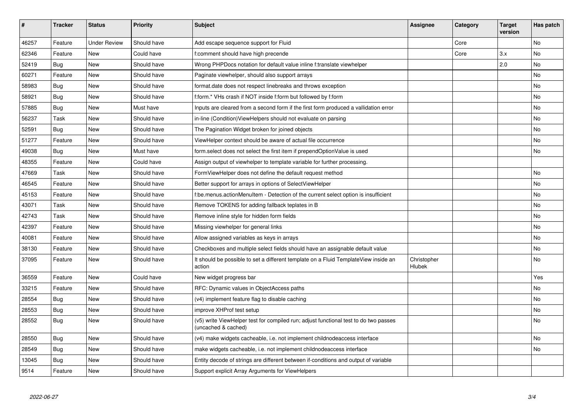| #     | <b>Tracker</b> | <b>Status</b>       | <b>Priority</b> | <b>Subject</b>                                                                                              | <b>Assignee</b>       | Category | <b>Target</b><br>version | Has patch |
|-------|----------------|---------------------|-----------------|-------------------------------------------------------------------------------------------------------------|-----------------------|----------|--------------------------|-----------|
| 46257 | Feature        | <b>Under Review</b> | Should have     | Add escape sequence support for Fluid                                                                       |                       | Core     |                          | <b>No</b> |
| 62346 | Feature        | New                 | Could have      | f:comment should have high precende                                                                         |                       | Core     | 3.x                      | <b>No</b> |
| 52419 | Bug            | New                 | Should have     | Wrong PHPDocs notation for default value inline f:translate viewhelper                                      |                       |          | 2.0                      | <b>No</b> |
| 60271 | Feature        | <b>New</b>          | Should have     | Paginate viewhelper, should also support arrays                                                             |                       |          |                          | <b>No</b> |
| 58983 | Bug            | New                 | Should have     | format.date does not respect linebreaks and throws exception                                                |                       |          |                          | No        |
| 58921 | Bug            | New                 | Should have     | f:form.* VHs crash if NOT inside f:form but followed by f:form                                              |                       |          |                          | <b>No</b> |
| 57885 | <b>Bug</b>     | New                 | Must have       | Inputs are cleared from a second form if the first form produced a vallidation error                        |                       |          |                          | No        |
| 56237 | Task           | <b>New</b>          | Should have     | in-line (Condition) View Helpers should not evaluate on parsing                                             |                       |          |                          | No        |
| 52591 | Bug            | New                 | Should have     | The Pagination Widget broken for joined objects                                                             |                       |          |                          | No        |
| 51277 | Feature        | <b>New</b>          | Should have     | ViewHelper context should be aware of actual file occurrence                                                |                       |          |                          | No        |
| 49038 | Bug            | <b>New</b>          | Must have       | form.select does not select the first item if prependOptionValue is used                                    |                       |          |                          | No        |
| 48355 | Feature        | <b>New</b>          | Could have      | Assign output of viewhelper to template variable for further processing.                                    |                       |          |                          |           |
| 47669 | Task           | New                 | Should have     | FormViewHelper does not define the default request method                                                   |                       |          |                          | <b>No</b> |
| 46545 | Feature        | New                 | Should have     | Better support for arrays in options of SelectViewHelper                                                    |                       |          |                          | <b>No</b> |
| 45153 | Feature        | New                 | Should have     | f:be.menus.actionMenuItem - Detection of the current select option is insufficient                          |                       |          |                          | No        |
| 43071 | Task           | New                 | Should have     | Remove TOKENS for adding fallback teplates in B                                                             |                       |          |                          | <b>No</b> |
| 42743 | Task           | New                 | Should have     | Remove inline style for hidden form fields                                                                  |                       |          |                          | <b>No</b> |
| 42397 | Feature        | <b>New</b>          | Should have     | Missing viewhelper for general links                                                                        |                       |          |                          | <b>No</b> |
| 40081 | Feature        | New                 | Should have     | Allow assigned variables as keys in arrays                                                                  |                       |          |                          | No        |
| 38130 | Feature        | New                 | Should have     | Checkboxes and multiple select fields should have an assignable default value                               |                       |          |                          | No        |
| 37095 | Feature        | New                 | Should have     | It should be possible to set a different template on a Fluid TemplateView inside an<br>action               | Christopher<br>Hlubek |          |                          | No        |
| 36559 | Feature        | New                 | Could have      | New widget progress bar                                                                                     |                       |          |                          | Yes       |
| 33215 | Feature        | New                 | Should have     | RFC: Dynamic values in ObjectAccess paths                                                                   |                       |          |                          | No        |
| 28554 | Bug            | New                 | Should have     | (v4) implement feature flag to disable caching                                                              |                       |          |                          | No        |
| 28553 | <b>Bug</b>     | New                 | Should have     | improve XHProf test setup                                                                                   |                       |          |                          | <b>No</b> |
| 28552 | Bug            | New                 | Should have     | (v5) write ViewHelper test for compiled run; adjust functional test to do two passes<br>(uncached & cached) |                       |          |                          | No        |
| 28550 | Bug            | New                 | Should have     | (v4) make widgets cacheable, i.e. not implement childnodeaccess interface                                   |                       |          |                          | No        |
| 28549 | Bug            | New                 | Should have     | make widgets cacheable, i.e. not implement childnodeaccess interface                                        |                       |          |                          | <b>No</b> |
| 13045 | Bug            | New                 | Should have     | Entity decode of strings are different between if-conditions and output of variable                         |                       |          |                          |           |
| 9514  | Feature        | <b>New</b>          | Should have     | Support explicit Array Arguments for ViewHelpers                                                            |                       |          |                          |           |